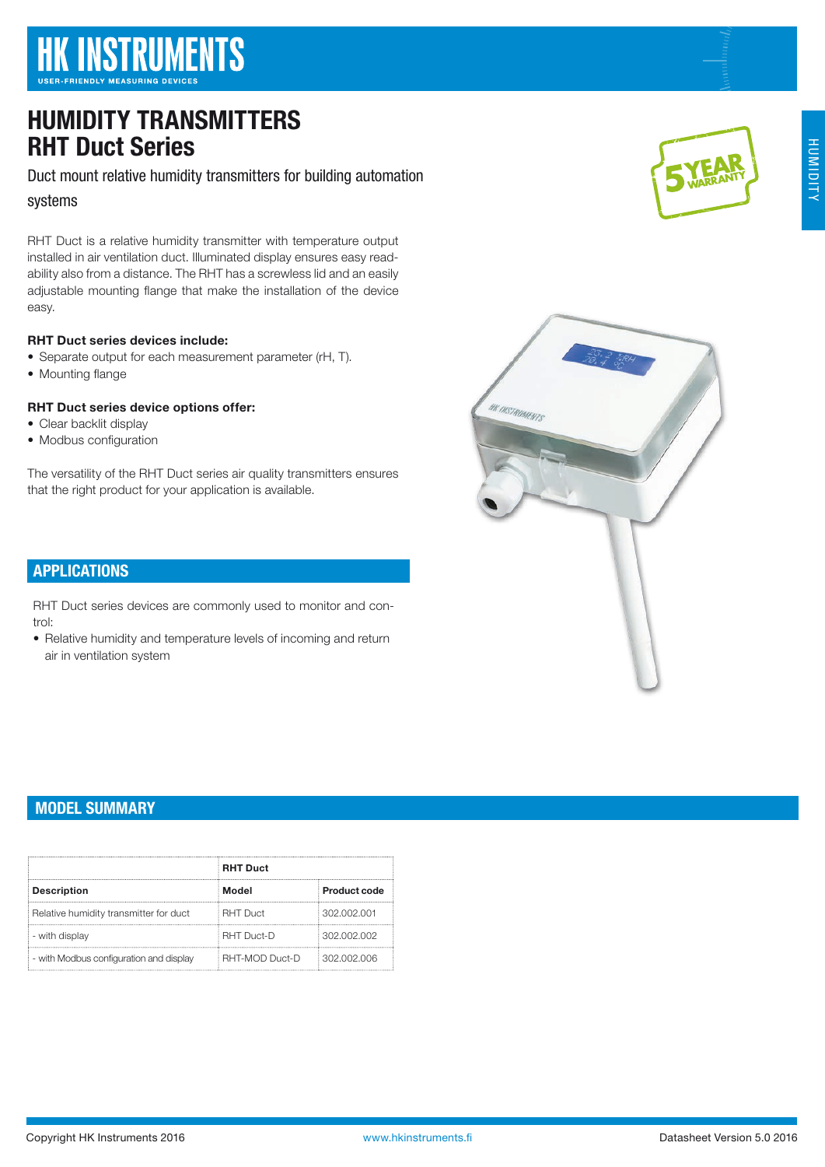# **HK INSTRUMENTS**

# HUMIDITY TRANSMITTERS RHT Duct Series

Duct mount relative humidity transmitters for building automation systems

RHT Duct is a relative humidity transmitter with temperature output installed in air ventilation duct. Illuminated display ensures easy readability also from a distance. The RHT has a screwless lid and an easily adjustable mounting flange that make the installation of the device easy.

## RHT Duct series devices include:

- Separate output for each measurement parameter (rH, T).
- Mounting flange

# RHT Duct series device options offer:

- Clear backlit display
- Modbus configuration

The versatility of the RHT Duct series air quality transmitters ensures that the right product for your application is available.

# APPLICATIONS

RHT Duct series devices are commonly used to monitor and control:

• Relative humidity and temperature levels of incoming and return air in ventilation system

# MODEL SUMMARY

|                                         | <b>RHT Duct</b>   |              |
|-----------------------------------------|-------------------|--------------|
| <b>Description</b>                      | Model             | Product code |
| Relative humidity transmitter for duct  | <b>RHT Duct</b>   | 302.002.001  |
| - with display                          | <b>RHT Duct-D</b> | 302.002.002  |
| - with Modbus configuration and display | RHT-MOD Duct-D    | 302.002.006  |